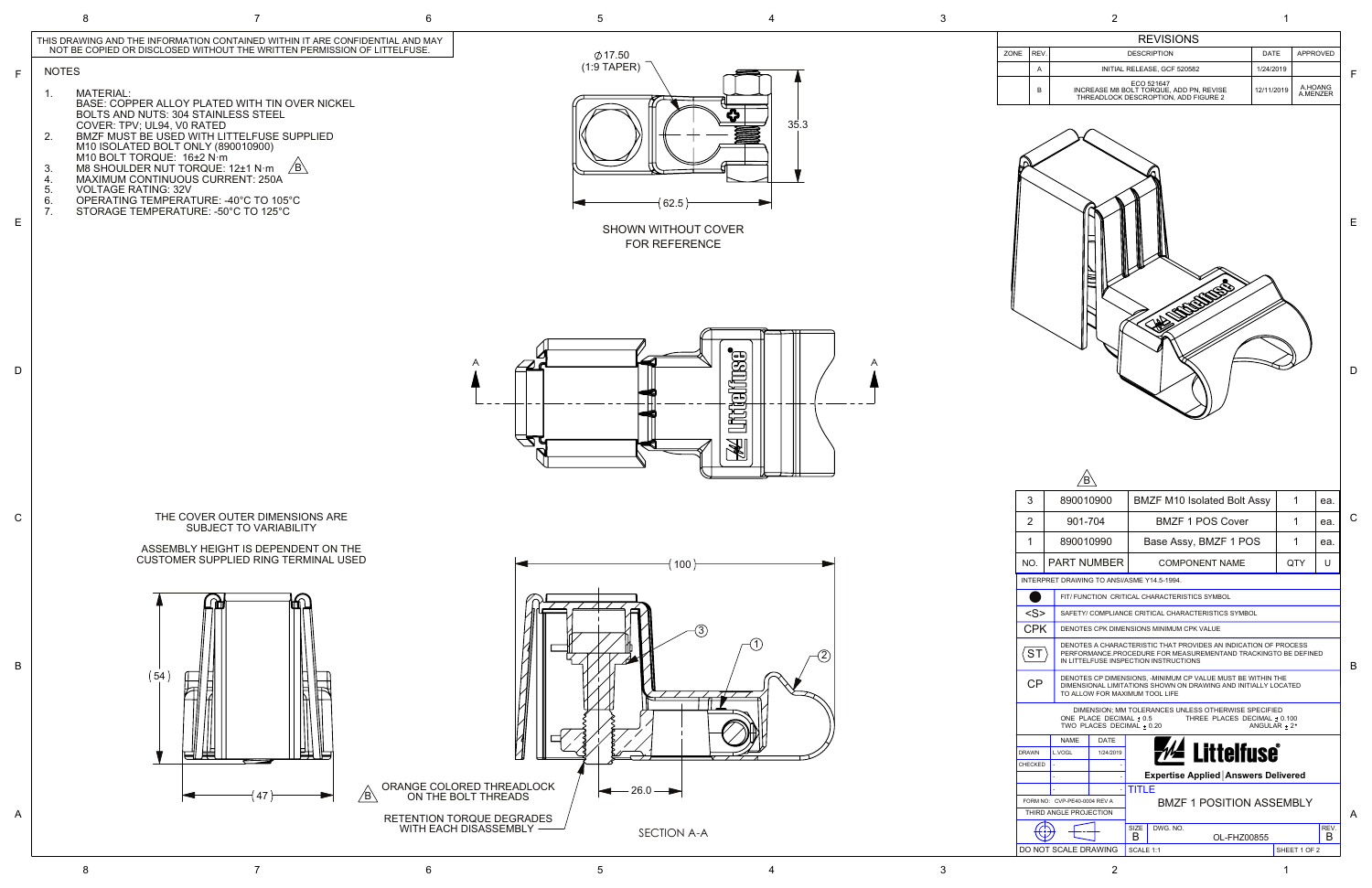|                                                              | 2                                          |                                                                                               |            | 1                   |  |
|--------------------------------------------------------------|--------------------------------------------|-----------------------------------------------------------------------------------------------|------------|---------------------|--|
|                                                              |                                            | <b>REVISIONS</b>                                                                              |            |                     |  |
| ZONE                                                         | REV.                                       | <b>DESCRIPTION</b>                                                                            | DATE       | <b>APPROVED</b>     |  |
|                                                              | Α                                          | INITIAL RELEASE, GCF 520582                                                                   | 1/24/2019  |                     |  |
|                                                              | В                                          | ECO 521647<br>INCREASE M8 BOLT TORQUE, ADD PN, REVISE<br>THREADLOCK DESCROPTION, ADD FIGURE 2 | 12/11/2019 | A.HOANG<br>A.MENZER |  |
| 3                                                            | 890010900                                  | <b>BMZF M10 Isolated Bolt Assy</b>                                                            |            | 1<br>ea.            |  |
| 2                                                            | 901-704                                    | <b>BMZF 1 POS Cover</b>                                                                       |            | 1<br>ea.            |  |
| 1                                                            | 890010990                                  | Base Assy, BMZF 1 POS                                                                         |            | 1<br>ea.            |  |
| NO.                                                          | PART NUMBER                                | <b>COMPONENT NAME</b>                                                                         |            | QTY<br>U            |  |
|                                                              | INTERPRET DRAWING TO ANSI/ASME Y14.5-1994. |                                                                                               |            |                     |  |
|                                                              |                                            | FIT/ FUNCTION CRITICAL CHARACTERISTICS SYMBOL                                                 |            |                     |  |
| $<$ S><br>SAFETY/ COMPLIANCE CRITICAL CHARACTERISTICS SYMBOL |                                            |                                                                                               |            |                     |  |
| <b>CPK</b>                                                   |                                            | DENOTES CPK DIMENSIONS MINIMUM CPK VALUE                                                      |            |                     |  |
|                                                              |                                            | DENOTES A CHARACTERISTIC THAT PROVIDES AN INDICATION OF PROCESS                               |            |                     |  |

PERFORMANCE.PROCEDURE FOR MEASUREMENTAND TRACKINGTO BE DEFINED



IN LITTELFUSE INSPECTION INSTRUCTIONS

 $\sqrt{\textsf{ST}}$ 



1